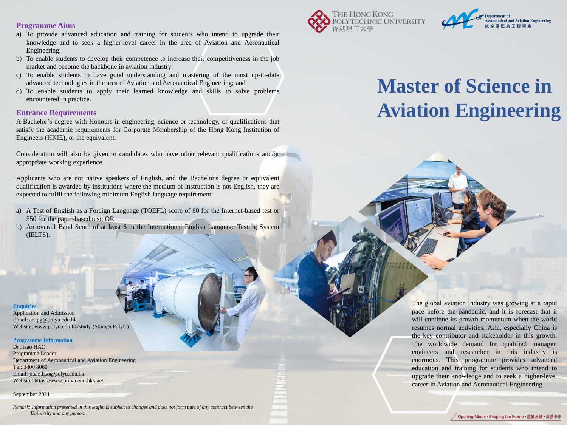### **Programme Aims**

- a) To provide advanced education and training for students who intend to upgrade their knowledge and to seek a higher-level career in the area of Aviation and Aeronautical Engineering;
- b) To enable students to develop their competence to increase their competitiveness in the job market and become the backbone in aviation industry;
- c) To enable students to have good understanding and mastering of the most up-to-date advanced technologies in the area of Aviation and Aeronautical Engineering; and
- d) To enable students to apply their learned knowledge and skills to solve problems encountered in practice.

### **Entrance Requirements**

A Bachelor's degree with Honours in engineering, science or technology, or qualifications that satisfy the academic requirements for Corporate Membership of the Hong Kong Institution of Engineers (HKIE), or the equivalent.

Consideration will also be given to candidates who have other relevant qualifications and/or appropriate working experience.

Applicants who are not native speakers of English, and the Bachelor's degree or equivalent qualification is awarded by institutions where the medium of instruction is not English, they are expected to fulfil the following minimum English language requirement:

- a) A Test of English as a Foreign Language (TOEFL) score of 80 for the Internet-based test or 550 for the paper-based test; OR
- b) An overall Band Score of at least 6 in the International English Language Testing System (IELTS).

### **Enquiries**

Application and Admission Email: ar.tpg@polyu.edu.hk Website: www.polyu.edu.hk/study (Study@PolyU)

#### **Programme Information**

Dr Jiaao HAO Programme Leader Department of Aeronautical and Aviation Engineering Tel: 3400 8060 Email: jiaao.hao@polyu.edu.hk Website: https://www.polyu.edu.hk/aae/

### September 2021

*Remark: Information presented in this leaflet is subject to changes and does not form part of any contract between the University and any person.* 





# **Master of Science in Aviation Engineering**

The global aviation industry was growing at a rapid pace before the pandemic, and it is forecast that it will continue its growth momentum when the world resumes normal activities. Asia, especially China is the key contributor and stakeholder in this growth. The worldwide demand for qualified manager, engineers and researcher in this industry is enormous. This programme provides advanced education and training for students who intend to upgrade their knowledge and to seek a higher-level career in Aviation and Aeronautical Engineering.